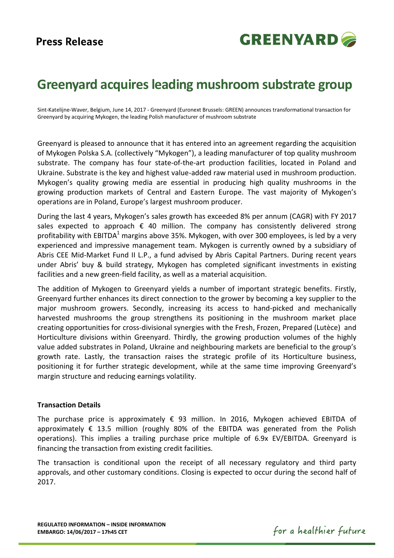

# **Greenyard acquires leading mushroom substrate group**

Sint-Katelijne-Waver, Belgium, June 14, 2017 - Greenyard (Euronext Brussels: GREEN) announces transformational transaction for Greenyard by acquiring Mykogen, the leading Polish manufacturer of mushroom substrate

Greenyard is pleased to announce that it has entered into an agreement regarding the acquisition of Mykogen Polska S.A. (collectively "Mykogen"), a leading manufacturer of top quality mushroom substrate. The company has four state-of-the-art production facilities, located in Poland and Ukraine. Substrate is the key and highest value-added raw material used in mushroom production. Mykogen's quality growing media are essential in producing high quality mushrooms in the growing production markets of Central and Eastern Europe. The vast majority of Mykogen's operations are in Poland, Europe's largest mushroom producer.

During the last 4 years, Mykogen's sales growth has exceeded 8% per annum (CAGR) with FY 2017 sales expected to approach  $\epsilon$  40 million. The company has consistently delivered strong profitability with EBITDA<sup>1</sup> margins above 35%. Mykogen, with over 300 employees, is led by a very experienced and impressive management team. Mykogen is currently owned by a subsidiary of Abris CEE Mid-Market Fund II L.P., a fund advised by Abris Capital Partners. During recent years under Abris' buy & build strategy, Mykogen has completed significant investments in existing facilities and a new green-field facility, as well as a material acquisition.

The addition of Mykogen to Greenyard yields a number of important strategic benefits. Firstly, Greenyard further enhances its direct connection to the grower by becoming a key supplier to the major mushroom growers. Secondly, increasing its access to hand-picked and mechanically harvested mushrooms the group strengthens its positioning in the mushroom market place creating opportunities for cross-divisional synergies with the Fresh, Frozen, Prepared (Lutèce) and Horticulture divisions within Greenyard. Thirdly, the growing production volumes of the highly value added substrates in Poland, Ukraine and neighbouring markets are beneficial to the group's growth rate. Lastly, the transaction raises the strategic profile of its Horticulture business, positioning it for further strategic development, while at the same time improving Greenyard's margin structure and reducing earnings volatility.

### **Transaction Details**

The purchase price is approximately  $\epsilon$  93 million. In 2016, Mykogen achieved EBITDA of approximately  $\epsilon$  13.5 million (roughly 80% of the EBITDA was generated from the Polish operations). This implies a trailing purchase price multiple of 6.9x EV/EBITDA. Greenyard is financing the transaction from existing credit facilities.

The transaction is conditional upon the receipt of all necessary regulatory and third party approvals, and other customary conditions. Closing is expected to occur during the second half of 2017.

for a healthier future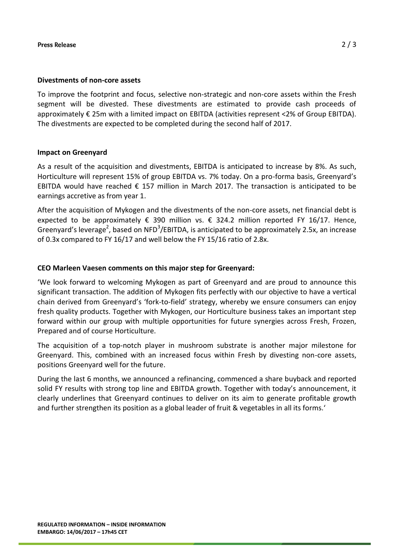#### **Press Release**

### **Divestments of non-core assets**

To improve the footprint and focus, selective non-strategic and non-core assets within the Fresh segment will be divested. These divestments are estimated to provide cash proceeds of approximately € 25m with a limited impact on EBITDA (activities represent <2% of Group EBITDA). The divestments are expected to be completed during the second half of 2017.

## **Impact on Greenyard**

As a result of the acquisition and divestments, EBITDA is anticipated to increase by 8%. As such, Horticulture will represent 15% of group EBITDA vs. 7% today. On a pro-forma basis, Greenyard's EBITDA would have reached  $\epsilon$  157 million in March 2017. The transaction is anticipated to be earnings accretive as from year 1.

After the acquisition of Mykogen and the divestments of the non-core assets, net financial debt is expected to be approximately  $\epsilon$  390 million vs.  $\epsilon$  324.2 million reported FY 16/17. Hence, Greenyard's leverage<sup>2</sup>, based on NFD<sup>3</sup>/EBITDA, is anticipated to be approximately 2.5x, an increase of 0.3x compared to FY 16/17 and well below the FY 15/16 ratio of 2.8x.

# **CEO Marleen Vaesen comments on this major step for Greenyard:**

'We look forward to welcoming Mykogen as part of Greenyard and are proud to announce this significant transaction. The addition of Mykogen fits perfectly with our objective to have a vertical chain derived from Greenyard's 'fork-to-field' strategy, whereby we ensure consumers can enjoy fresh quality products. Together with Mykogen, our Horticulture business takes an important step forward within our group with multiple opportunities for future synergies across Fresh, Frozen, Prepared and of course Horticulture.

The acquisition of a top-notch player in mushroom substrate is another major milestone for Greenyard. This, combined with an increased focus within Fresh by divesting non-core assets, positions Greenyard well for the future.

During the last 6 months, we announced a refinancing, commenced a share buyback and reported solid FY results with strong top line and EBITDA growth. Together with today's announcement, it clearly underlines that Greenyard continues to deliver on its aim to generate profitable growth and further strengthen its position as a global leader of fruit & vegetables in all its forms.'